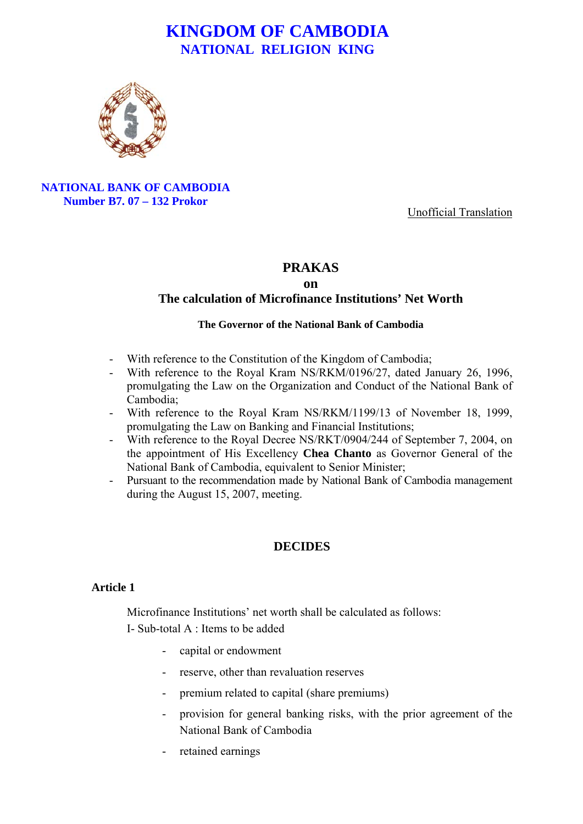

**NATIONAL BANK OF CAMBODIA Number B7. 07 – 132 Prokor**

Unofficial Translation

## **PRAKAS**

#### **on**

## **The calculation of Microfinance Institutions' Net Worth**

#### **The Governor of the National Bank of Cambodia**

- With reference to the Constitution of the Kingdom of Cambodia;
- With reference to the Royal Kram NS/RKM/0196/27, dated January 26, 1996, promulgating the Law on the Organization and Conduct of the National Bank of Cambodia;
- With reference to the Royal Kram NS/RKM/1199/13 of November 18, 1999, promulgating the Law on Banking and Financial Institutions;
- With reference to the Royal Decree NS/RKT/0904/244 of September 7, 2004, on the appointment of His Excellency **Chea Chanto** as Governor General of the National Bank of Cambodia, equivalent to Senior Minister;
- Pursuant to the recommendation made by National Bank of Cambodia management during the August 15, 2007, meeting.

## **DECIDES**

#### **Article 1**

Microfinance Institutions' net worth shall be calculated as follows: I- Sub-total A : Items to be added

- capital or endowment
- reserve, other than revaluation reserves
- premium related to capital (share premiums)
- provision for general banking risks, with the prior agreement of the National Bank of Cambodia
- retained earnings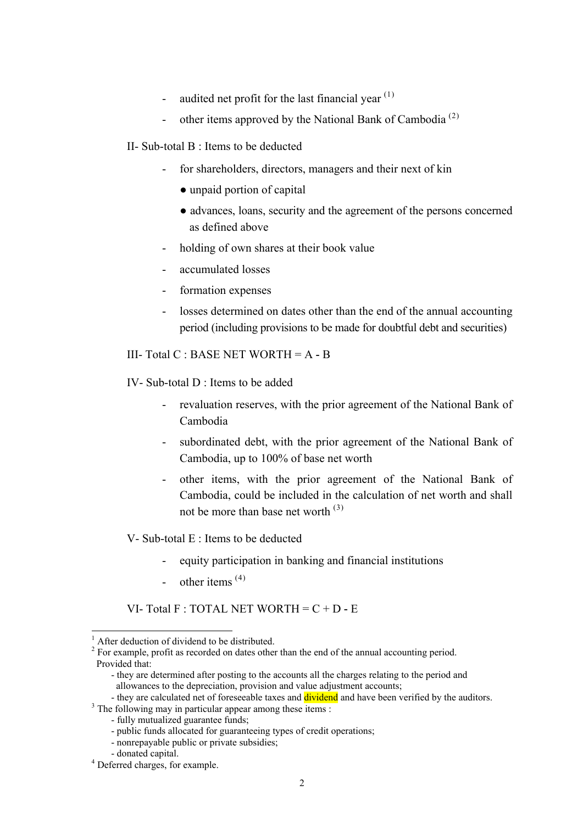- audited net profit for the last financial year  $(1)$  $(1)$  $(1)$
- other items approved by the National Bank of Cambodia<sup>([2](#page-1-1))</sup>
- II- Sub-total B : Items to be deducted
	- for shareholders, directors, managers and their next of kin
		- unpaid portion of capital
		- advances, loans, security and the agreement of the persons concerned as defined above
	- holding of own shares at their book value
	- accumulated losses
	- formation expenses
	- losses determined on dates other than the end of the annual accounting period (including provisions to be made for doubtful debt and securities)

III- Total C : BASE NET WORTH = A **-** B

IV- Sub-total D : Items to be added

- revaluation reserves, with the prior agreement of the National Bank of Cambodia
- subordinated debt, with the prior agreement of the National Bank of Cambodia, up to 100% of base net worth
- other items, with the prior agreement of the National Bank of Cambodia, could be included in the calculation of net worth and shall not be more than base net worth ([3](#page-1-2))

V- Sub-total  $E \cdot$  Items to be deducted

- equity participation in banking and financial institutions
- other items  $(4)$  $(4)$  $(4)$

VI- Total F : TOTAL NET WORTH = C + D **-** E

- they are determined after posting to the accounts all the charges relating to the period and allowances to the depreciation, provision and value adjustment accounts;

<span id="page-1-2"></span> $3$  The following may in particular appear among these items :

<sup>&</sup>lt;sup>1</sup> After deduction of dividend to be distributed.

<span id="page-1-1"></span><span id="page-1-0"></span> $2^2$  For example, profit as recorded on dates other than the end of the annual accounting period. Provided that:

<sup>-</sup> they are calculated net of foreseeable taxes and **dividend** and have been verified by the auditors.

<sup>-</sup> fully mutualized guarantee funds;

<sup>-</sup> public funds allocated for guaranteeing types of credit operations;

<sup>-</sup> nonrepayable public or private subsidies;

<sup>-</sup> donated capital. 4

<span id="page-1-3"></span><sup>&</sup>lt;sup>4</sup> Deferred charges, for example.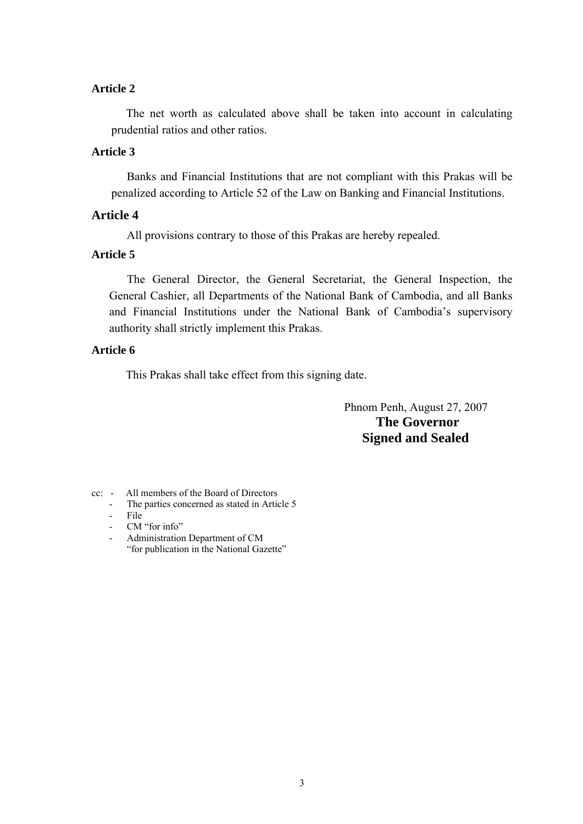## **Article 2**

The net worth as calculated above shall be taken into account in calculating prudential ratios and other ratios.

## **Article 3**

Banks and Financial Institutions that are not compliant with this Prakas will be penalized according to Article 52 of the Law on Banking and Financial Institutions.

## **Article 4**

All provisions contrary to those of this Prakas are hereby repealed.

# **Article 5**

 The General Director, the General Secretariat, the General Inspection, the General Cashier, all Departments of the National Bank of Cambodia, and all Banks and Financial Institutions under the National Bank of Cambodia's supervisory authority shall strictly implement this Prakas.

## **Article 6**

This Prakas shall take effect from this signing date.

 Phnom Penh, August 27, 2007  **The Governor Signed and Sealed** 

- cc: All members of the Board of Directors
	- The parties concerned as stated in Article 5
	- File
	- CM "for info"
	- Administration Department of CM "for publication in the National Gazette"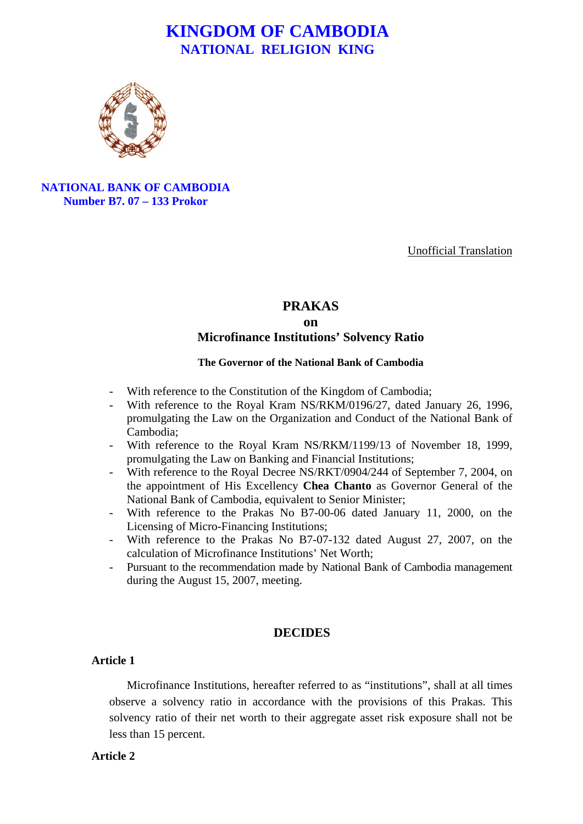

**NATIONAL BANK OF CAMBODIA Number B7. 07 – 133 Prokor**

Unofficial Translation

# **PRAKAS on Microfinance Institutions' Solvency Ratio**

#### **The Governor of the National Bank of Cambodia**

- With reference to the Constitution of the Kingdom of Cambodia;
- With reference to the Royal Kram NS/RKM/0196/27, dated January 26, 1996, promulgating the Law on the Organization and Conduct of the National Bank of Cambodia;
- With reference to the Royal Kram NS/RKM/1199/13 of November 18, 1999, promulgating the Law on Banking and Financial Institutions;
- With reference to the Royal Decree NS/RKT/0904/244 of September 7, 2004, on the appointment of His Excellency **Chea Chanto** as Governor General of the National Bank of Cambodia, equivalent to Senior Minister;
- With reference to the Prakas No B7-00-06 dated January 11, 2000, on the Licensing of Micro-Financing Institutions;
- With reference to the Prakas No B7-07-132 dated August 27, 2007, on the calculation of Microfinance Institutions' Net Worth;
- Pursuant to the recommendation made by National Bank of Cambodia management during the August 15, 2007, meeting.

## **DECIDES**

## **Article 1**

Microfinance Institutions, hereafter referred to as "institutions", shall at all times observe a solvency ratio in accordance with the provisions of this Prakas. This solvency ratio of their net worth to their aggregate asset risk exposure shall not be less than 15 percent.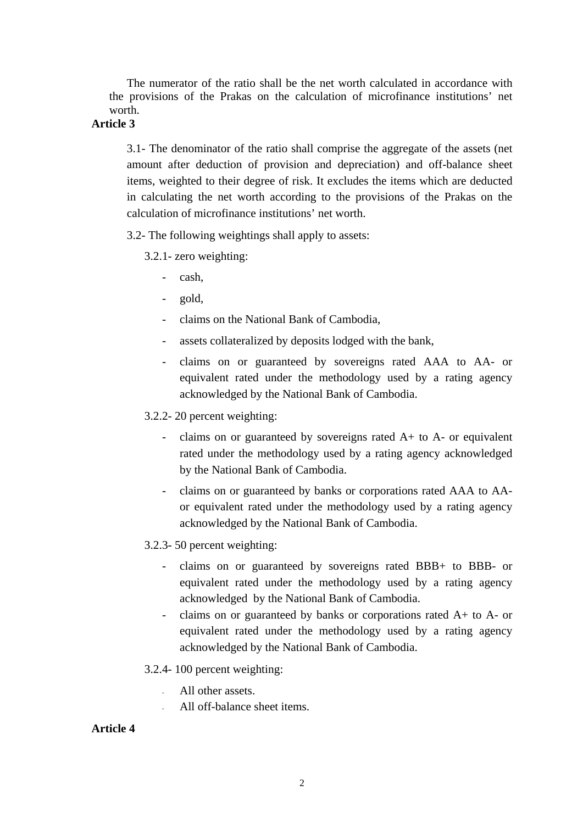The numerator of the ratio shall be the net worth calculated in accordance with the provisions of the Prakas on the calculation of microfinance institutions' net worth.

# **Article 3**

3.1- The denominator of the ratio shall comprise the aggregate of the assets (net amount after deduction of provision and depreciation) and off-balance sheet items, weighted to their degree of risk. It excludes the items which are deducted in calculating the net worth according to the provisions of the Prakas on the calculation of microfinance institutions' net worth.

3.2- The following weightings shall apply to assets:

- 3.2.1- zero weighting:
	- cash,
	- gold,
	- claims on the National Bank of Cambodia,
	- assets collateralized by deposits lodged with the bank,
	- claims on or guaranteed by sovereigns rated AAA to AA- or equivalent rated under the methodology used by a rating agency acknowledged by the National Bank of Cambodia.

3.2.2- 20 percent weighting:

- claims on or guaranteed by sovereigns rated  $A+$  to  $A-$  or equivalent rated under the methodology used by a rating agency acknowledged by the National Bank of Cambodia.
- claims on or guaranteed by banks or corporations rated AAA to AAor equivalent rated under the methodology used by a rating agency acknowledged by the National Bank of Cambodia.
- 3.2.3- 50 percent weighting:
	- claims on or guaranteed by sovereigns rated BBB+ to BBB- or equivalent rated under the methodology used by a rating agency acknowledged by the National Bank of Cambodia.
	- claims on or guaranteed by banks or corporations rated  $A+$  to  $A-$  or equivalent rated under the methodology used by a rating agency acknowledged by the National Bank of Cambodia.
- 3.2.4- 100 percent weighting:
	- All other assets
	- All off-balance sheet items.

## **Article 4**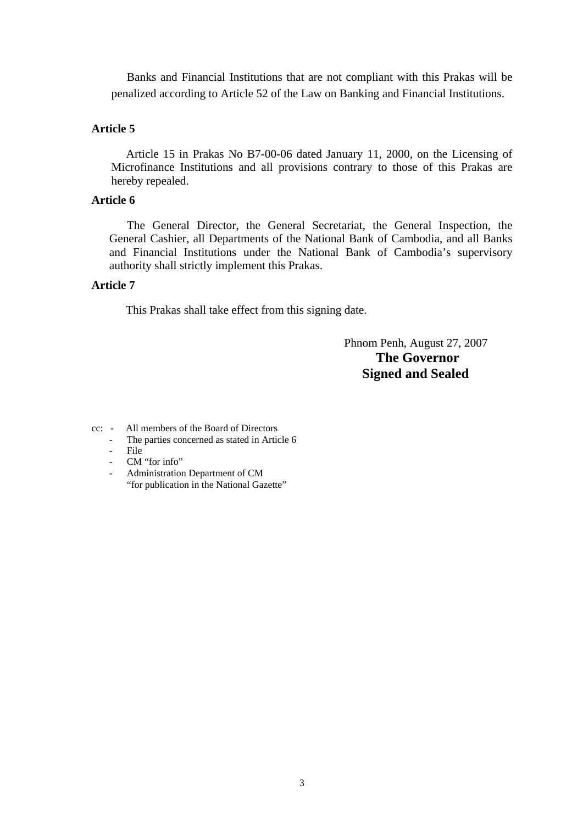Banks and Financial Institutions that are not compliant with this Prakas will be penalized according to Article 52 of the Law on Banking and Financial Institutions.

#### **Article 5**

Article 15 in Prakas No B7-00-06 dated January 11, 2000, on the Licensing of Microfinance Institutions and all provisions contrary to those of this Prakas are hereby repealed.

## **Article 6**

 The General Director, the General Secretariat, the General Inspection, the General Cashier, all Departments of the National Bank of Cambodia, and all Banks and Financial Institutions under the National Bank of Cambodia's supervisory authority shall strictly implement this Prakas.

#### **Article 7**

This Prakas shall take effect from this signing date.

 Phnom Penh, August 27, 2007  **The Governor Signed and Sealed** 

- cc: All members of the Board of Directors
	- The parties concerned as stated in Article 6<br>File
	- File
	- CM "for info"
	- Administration Department of CM "for publication in the National Gazette"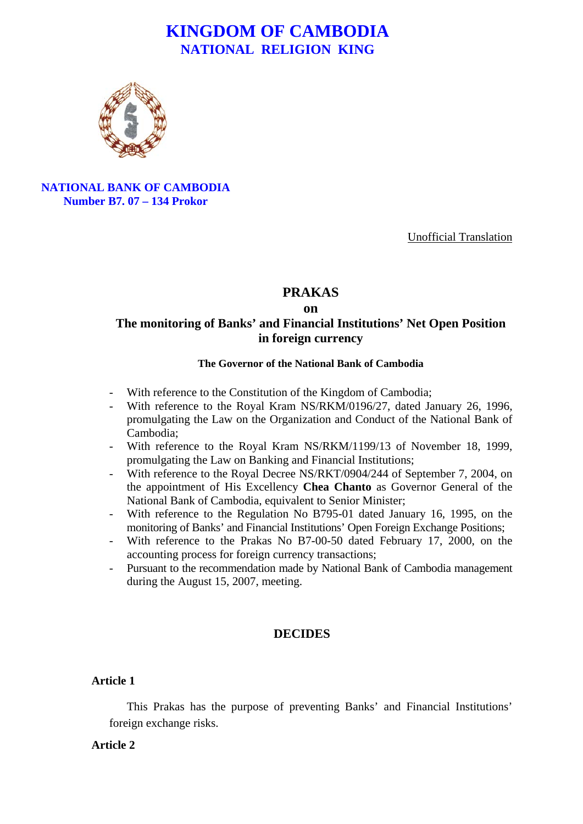

**NATIONAL BANK OF CAMBODIA Number B7. 07 – 134 Prokor**

Unofficial Translation

# **PRAKAS**

**on** 

# **The monitoring of Banks' and Financial Institutions' Net Open Position in foreign currency**

#### **The Governor of the National Bank of Cambodia**

- With reference to the Constitution of the Kingdom of Cambodia;
- With reference to the Royal Kram NS/RKM/0196/27, dated January 26, 1996, promulgating the Law on the Organization and Conduct of the National Bank of Cambodia;
- With reference to the Royal Kram NS/RKM/1199/13 of November 18, 1999, promulgating the Law on Banking and Financial Institutions;
- With reference to the Royal Decree NS/RKT/0904/244 of September 7, 2004, on the appointment of His Excellency **Chea Chanto** as Governor General of the National Bank of Cambodia, equivalent to Senior Minister;
- With reference to the Regulation No B795-01 dated January 16, 1995, on the monitoring of Banks' and Financial Institutions' Open Foreign Exchange Positions;
- With reference to the Prakas No B7-00-50 dated February 17, 2000, on the accounting process for foreign currency transactions;
- Pursuant to the recommendation made by National Bank of Cambodia management during the August 15, 2007, meeting.

## **DECIDES**

## **Article 1**

This Prakas has the purpose of preventing Banks' and Financial Institutions' foreign exchange risks.

#### **Article 2**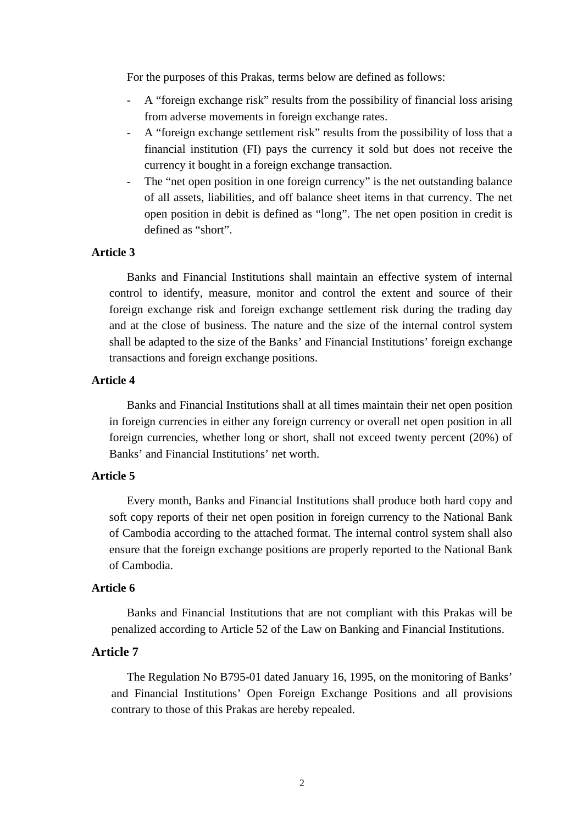For the purposes of this Prakas, terms below are defined as follows:

- A "foreign exchange risk" results from the possibility of financial loss arising from adverse movements in foreign exchange rates.
- A "foreign exchange settlement risk" results from the possibility of loss that a financial institution (FI) pays the currency it sold but does not receive the currency it bought in a foreign exchange transaction.
- The "net open position in one foreign currency" is the net outstanding balance of all assets, liabilities, and off balance sheet items in that currency. The net open position in debit is defined as "long". The net open position in credit is defined as "short".

## **Article 3**

Banks and Financial Institutions shall maintain an effective system of internal control to identify, measure, monitor and control the extent and source of their foreign exchange risk and foreign exchange settlement risk during the trading day and at the close of business. The nature and the size of the internal control system shall be adapted to the size of the Banks' and Financial Institutions' foreign exchange transactions and foreign exchange positions.

## **Article 4**

Banks and Financial Institutions shall at all times maintain their net open position in foreign currencies in either any foreign currency or overall net open position in all foreign currencies, whether long or short, shall not exceed twenty percent (20%) of Banks' and Financial Institutions' net worth.

## **Article 5**

Every month, Banks and Financial Institutions shall produce both hard copy and soft copy reports of their net open position in foreign currency to the National Bank of Cambodia according to the attached format. The internal control system shall also ensure that the foreign exchange positions are properly reported to the National Bank of Cambodia.

#### **Article 6**

Banks and Financial Institutions that are not compliant with this Prakas will be penalized according to Article 52 of the Law on Banking and Financial Institutions.

#### **Article 7**

The Regulation No B795-01 dated January 16, 1995, on the monitoring of Banks' and Financial Institutions' Open Foreign Exchange Positions and all provisions contrary to those of this Prakas are hereby repealed.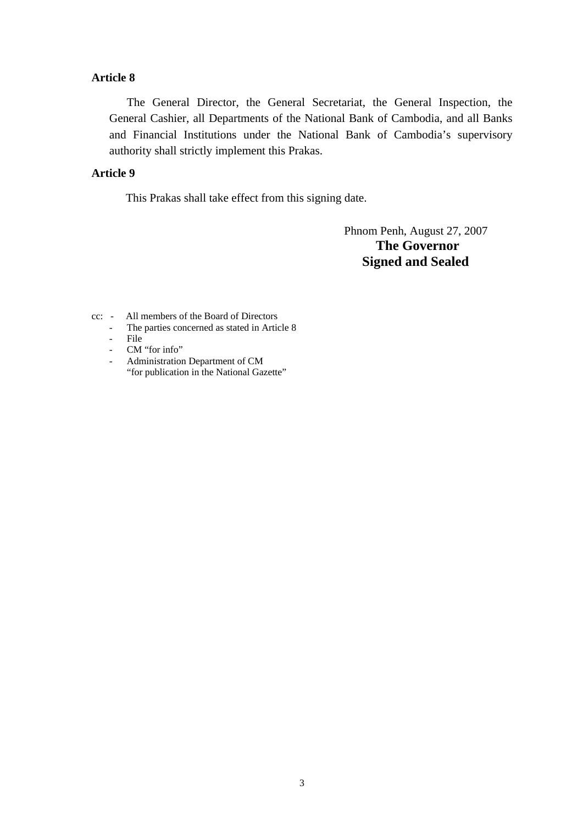## **Article 8**

 The General Director, the General Secretariat, the General Inspection, the General Cashier, all Departments of the National Bank of Cambodia, and all Banks and Financial Institutions under the National Bank of Cambodia's supervisory authority shall strictly implement this Prakas.

## **Article 9**

This Prakas shall take effect from this signing date.

 Phnom Penh, August 27, 2007  **The Governor Signed and Sealed** 

- cc: All members of the Board of Directors
	- The parties concerned as stated in Article 8
	- File
	- CM "for info"
	- Administration Department of CM "for publication in the National Gazette"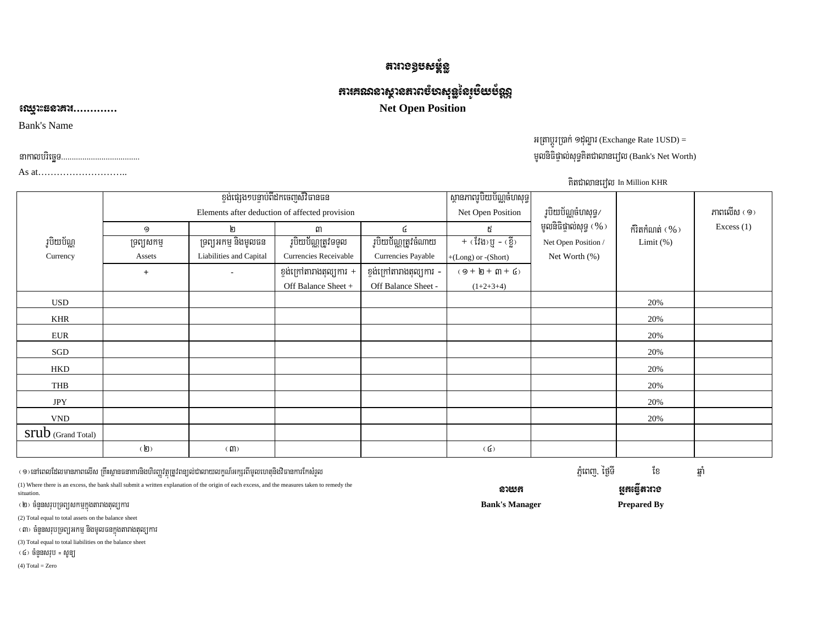# ងារាទទ្ធរសន្ន័និ

# $m$ គោះសារស្ថានតាពម្មសង់មីន្ទរូត្នរភ្ជា

# Net Open Position

Bank's Name

ಽ೧೮೨

As at………………………..

# អត្រាប្តូរប្រាក់ ១ដុល្លារ (Exchange Rate 1USD) = nakalbriecäT>>>>>>>>>>>>>>>>>>>>>>>>>>>>>>>>>>>>> mUlniFipÞal;suT§KitCalanerol (Bank's Net Worth)

|                           |                                                |                         |                                    |                          |                                                  | . <sub>1</sub> 1. <del>.</del> |                |              |
|---------------------------|------------------------------------------------|-------------------------|------------------------------------|--------------------------|--------------------------------------------------|--------------------------------|----------------|--------------|
|                           |                                                |                         | ខ្ទង់ផ្សេង១បន្ទាប់ពីដកចេញសិវិធានធន |                          | ស្ថានភាពរូបិយប័ណ្ណចំហសុទ្ធ                       |                                |                |              |
|                           | Elements after deduction of affected provision |                         |                                    |                          | Net Open Position                                | រូបិយប័ណ្ណចំហសុទ្ធ/            |                | ភាពលើស $(9)$ |
|                           | 9                                              | ២                       | ៣                                  | G                        | ៥                                                | មូលនិធិផ្ទាល់សុទ្ធ (%)         | ក៏វិតកំណត់ (%) | Excess $(1)$ |
| រូបិយប័ណ្ណ                | ទ្រព្យសកម្ម                                    | ទ្រព្យអកម្ម និងមូលធន    | <u>រូបិយប័ណ្ណត្រូ</u> វទទួល        | រូបិយប័ណ្ណត្រូវចំណាយ     | $+$ (វែង)ប្ញុំ - (ខ្លី)                          | Net Open Position /            | Limit $(\%)$   |              |
| Currency                  | Assets                                         | Liabilities and Capital | Currencies Receivable              | Currencies Payable       | $+(Long)$ or $-(Short)$                          | Net Worth (%)                  |                |              |
|                           | $+$                                            |                         | ខ្ទង់ក្រៅតារាងតុល្យការ $+$         | ខ្ទង់ក្រៅតារាងតុល្យការ - | $(\,9 + \, 1\!\!\!\!D + \, 1\!\!\!\!m + \, 6\,)$ |                                |                |              |
|                           |                                                |                         | Off Balance Sheet +                | Off Balance Sheet -      | $(1+2+3+4)$                                      |                                |                |              |
| <b>USD</b>                |                                                |                         |                                    |                          |                                                  |                                | 20%            |              |
| <b>KHR</b>                |                                                |                         |                                    |                          |                                                  |                                | 20%            |              |
| ${\rm EUR}$               |                                                |                         |                                    |                          |                                                  |                                | 20%            |              |
| SGD                       |                                                |                         |                                    |                          |                                                  |                                | 20%            |              |
| <b>HKD</b>                |                                                |                         |                                    |                          |                                                  |                                | 20%            |              |
| THB                       |                                                |                         |                                    |                          |                                                  |                                | 20%            |              |
| <b>JPY</b>                |                                                |                         |                                    |                          |                                                  |                                | 20%            |              |
| <b>VND</b>                |                                                |                         |                                    |                          |                                                  |                                | 20%            |              |
| <b>STUD</b> (Grand Total) |                                                |                         |                                    |                          |                                                  |                                |                |              |
|                           | $(\mathbf{g})$                                 | (m)                     |                                    |                          | (G)                                              |                                |                |              |

| <⊚>នៅពេលដែលមានភាពលើស គ្រឹះស្ថានធនាគារនិងហិរញ្ញវត្ថុត្រូវពន្យល់ជាលាយលក្ខណ៍អក្សរពីមូលហេតុនិងវិធានការកែសំរួល                                                  |                       | ភ្នំពេញ, ថ្ងៃទី | ខេ                 | ឆា |
|------------------------------------------------------------------------------------------------------------------------------------------------------------|-----------------------|-----------------|--------------------|----|
| (1) Where there is an excess, the bank shall submit a written explanation of the origin of each excess, and the measures taken to remedy the<br>situation. | reun                  | អអប់រំដោរទេ     |                    |    |
| (២) ចំនួនសរុបទ្រព្យសកម្មក្នុងតារាងតុល្យការ                                                                                                                 | <b>Bank's Manager</b> |                 | <b>Prepared By</b> |    |
| (2) Total equal to total assets on the balance sheet                                                                                                       |                       |                 |                    |    |
| (៣) ចំនួនសរុបទ្រព្យអកម្ម និងមូលធនក្នុងតារាងតុល្យការ                                                                                                        |                       |                 |                    |    |

កិតជាលានរេវល In Million KHR

( ៤) ចំនួនសរុប = សូន្យ  $(4)$  Total = Zero

(3) Total equal to total liabilities on the balance sheet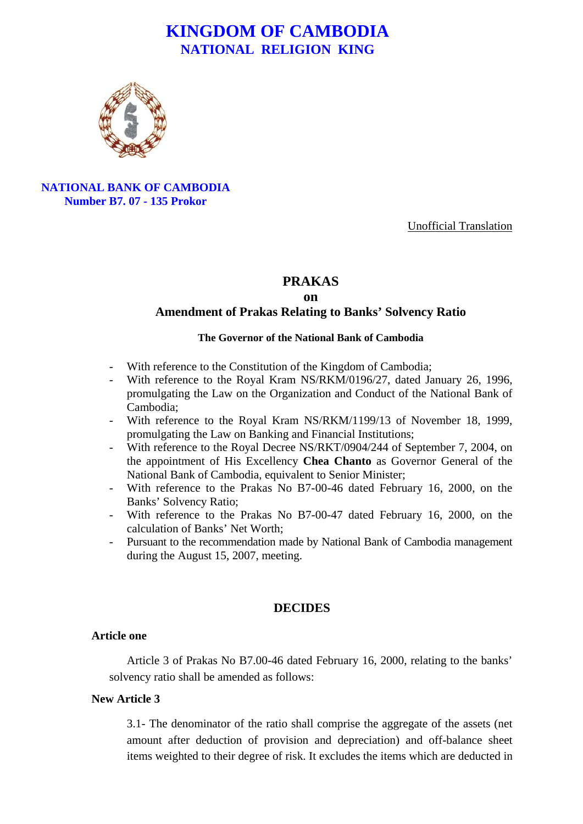

**NATIONAL BANK OF CAMBODIA Number B7. 07 - 135 Prokor**

Unofficial Translation

#### **PRAKAS**

#### **on**

#### **Amendment of Prakas Relating to Banks' Solvency Ratio**

#### **The Governor of the National Bank of Cambodia**

- With reference to the Constitution of the Kingdom of Cambodia;
- With reference to the Royal Kram NS/RKM/0196/27, dated January 26, 1996, promulgating the Law on the Organization and Conduct of the National Bank of Cambodia;
- With reference to the Royal Kram NS/RKM/1199/13 of November 18, 1999, promulgating the Law on Banking and Financial Institutions;
- With reference to the Royal Decree NS/RKT/0904/244 of September 7, 2004, on the appointment of His Excellency **Chea Chanto** as Governor General of the National Bank of Cambodia, equivalent to Senior Minister;
- With reference to the Prakas No B7-00-46 dated February 16, 2000, on the Banks' Solvency Ratio;
- With reference to the Prakas No B7-00-47 dated February 16, 2000, on the calculation of Banks' Net Worth;
- Pursuant to the recommendation made by National Bank of Cambodia management during the August 15, 2007, meeting.

#### **DECIDES**

#### **Article one**

Article 3 of Prakas No B7.00-46 dated February 16, 2000, relating to the banks' solvency ratio shall be amended as follows:

#### **New Article 3**

3.1- The denominator of the ratio shall comprise the aggregate of the assets (net amount after deduction of provision and depreciation) and off-balance sheet items weighted to their degree of risk. It excludes the items which are deducted in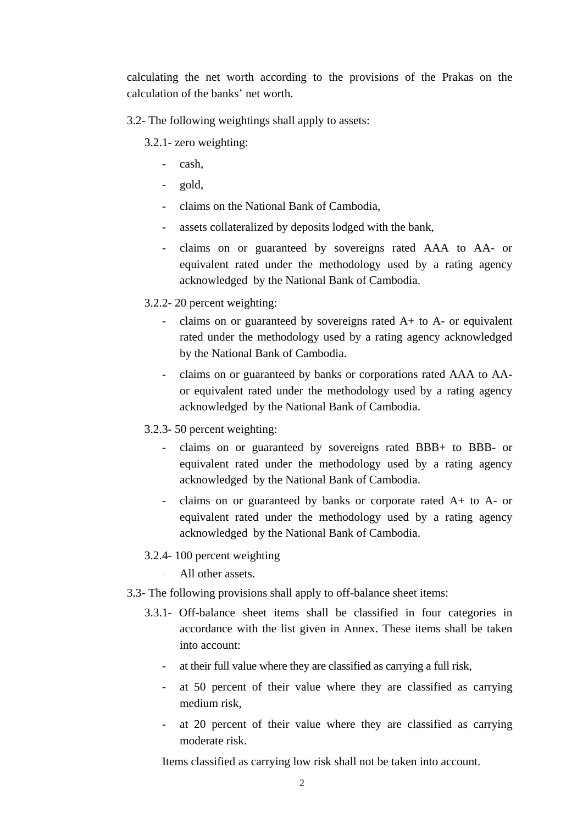calculating the net worth according to the provisions of the Prakas on the calculation of the banks' net worth.

3.2- The following weightings shall apply to assets:

3.2.1- zero weighting:

- cash,
- gold,
- claims on the National Bank of Cambodia,
- assets collateralized by deposits lodged with the bank,
- claims on or guaranteed by sovereigns rated AAA to AA- or equivalent rated under the methodology used by a rating agency acknowledged by the National Bank of Cambodia.
- 3.2.2- 20 percent weighting:
	- claims on or guaranteed by sovereigns rated A+ to A- or equivalent rated under the methodology used by a rating agency acknowledged by the National Bank of Cambodia.
	- claims on or guaranteed by banks or corporations rated AAA to AAor equivalent rated under the methodology used by a rating agency acknowledged by the National Bank of Cambodia.
- 3.2.3- 50 percent weighting:
	- claims on or guaranteed by sovereigns rated BBB+ to BBB- or equivalent rated under the methodology used by a rating agency acknowledged by the National Bank of Cambodia.
	- claims on or guaranteed by banks or corporate rated A+ to A- or equivalent rated under the methodology used by a rating agency acknowledged by the National Bank of Cambodia.
- 3.2.4- 100 percent weighting

All other assets.

- 3.3- The following provisions shall apply to off-balance sheet items:
	- 3.3.1- Off-balance sheet items shall be classified in four categories in accordance with the list given in Annex. These items shall be taken into account:
		- at their full value where they are classified as carrying a full risk,
		- at 50 percent of their value where they are classified as carrying medium risk,
		- at 20 percent of their value where they are classified as carrying moderate risk.

Items classified as carrying low risk shall not be taken into account.